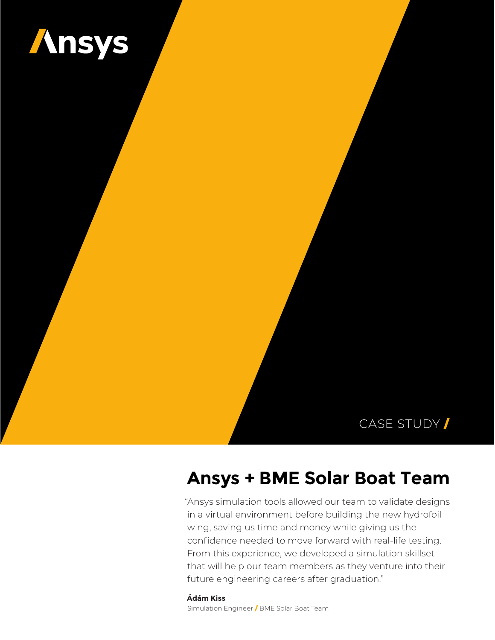

### CASE STUDY /

# **Ansys + BME Solar Boat Team**

"Ansys simulation tools allowed our team to validate designs in a virtual environment before building the new hydrofoil wing, saving us time and money while giving us the confidence needed to move forward with real-life testing. From this experience, we developed a simulation skillset that will help our team members as they venture into their future engineering careers after graduation."

**Ádám Kiss** Simulation Engineer / BME Solar Boat Team